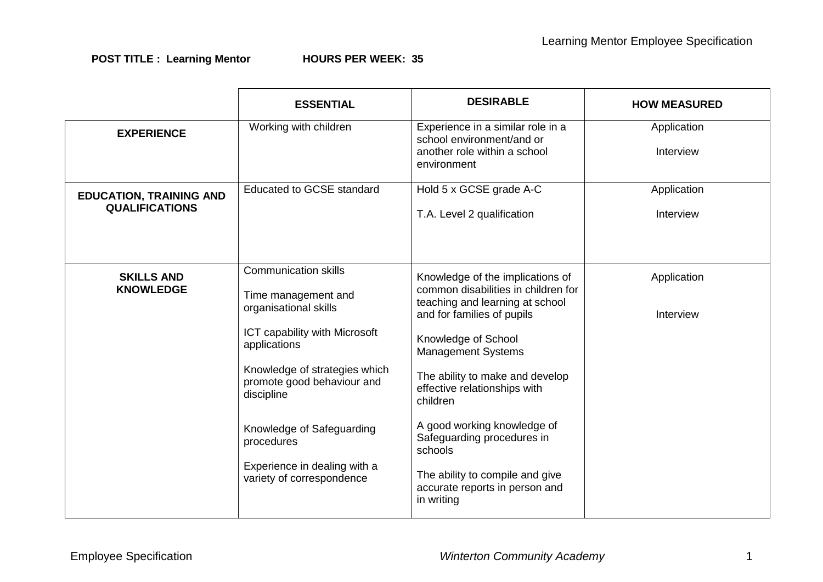|                                                         | <b>ESSENTIAL</b>                                                                                                                                                                                                                                                                                                  | <b>DESIRABLE</b>                                                                                                                                                                                                                                                                                                                                                                                                                       | <b>HOW MEASURED</b>      |
|---------------------------------------------------------|-------------------------------------------------------------------------------------------------------------------------------------------------------------------------------------------------------------------------------------------------------------------------------------------------------------------|----------------------------------------------------------------------------------------------------------------------------------------------------------------------------------------------------------------------------------------------------------------------------------------------------------------------------------------------------------------------------------------------------------------------------------------|--------------------------|
| <b>EXPERIENCE</b>                                       | Working with children                                                                                                                                                                                                                                                                                             | Experience in a similar role in a<br>school environment/and or<br>another role within a school<br>environment                                                                                                                                                                                                                                                                                                                          | Application<br>Interview |
| <b>EDUCATION, TRAINING AND</b><br><b>QUALIFICATIONS</b> | <b>Educated to GCSE standard</b>                                                                                                                                                                                                                                                                                  | Hold 5 x GCSE grade A-C<br>T.A. Level 2 qualification                                                                                                                                                                                                                                                                                                                                                                                  | Application<br>Interview |
| <b>SKILLS AND</b><br><b>KNOWLEDGE</b>                   | <b>Communication skills</b><br>Time management and<br>organisational skills<br>ICT capability with Microsoft<br>applications<br>Knowledge of strategies which<br>promote good behaviour and<br>discipline<br>Knowledge of Safeguarding<br>procedures<br>Experience in dealing with a<br>variety of correspondence | Knowledge of the implications of<br>common disabilities in children for<br>teaching and learning at school<br>and for families of pupils<br>Knowledge of School<br><b>Management Systems</b><br>The ability to make and develop<br>effective relationships with<br>children<br>A good working knowledge of<br>Safeguarding procedures in<br>schools<br>The ability to compile and give<br>accurate reports in person and<br>in writing | Application<br>Interview |